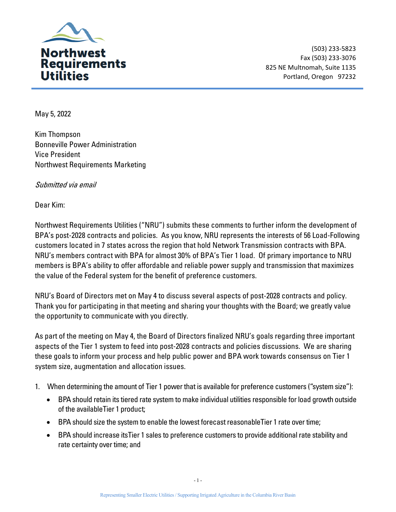

(503) 233-5823 Fax (503) 233-3076 825 NE Multnomah, Suite 1135 Portland, Oregon 97232

May 5, 2022

Kim Thompson Bonneville Power Administration Vice President Northwest Requirements Marketing

Submitted via email

Dear Kim:

Northwest Requirements Utilities ("NRU") submits these comments to further inform the development of BPA's post-2028 contracts and policies. As you know, NRU represents the interests of 56 Load-Following customers located in 7 states across the region that hold Network Transmission contracts with BPA. NRU's members contract with BPA for almost 30% of BPA's Tier 1 load. Of primary importance to NRU members is BPA's ability to offer affordable and reliable power supply and transmission that maximizes the value of the Federal system for the benefit of preference customers.

NRU's Board of Directors met on May 4 to discuss several aspects of post-2028 contracts and policy. Thank you for participating in that meeting and sharing your thoughts with the Board; we greatly value the opportunity to communicate with you directly.

As part of the meeting on May 4, the Board of Directors finalized NRU's goals regarding three important aspects of the Tier 1 system to feed into post-2028 contracts and policies discussions. We are sharing these goals to inform your process and help public power and BPA work towards consensus on Tier 1 system size, augmentation and allocation issues.

- 1. When determining the amount of Tier 1 power that is available for preference customers ("system size"):
	- BPA should retain its tiered rate system to make individual utilities responsible for load growth outside of the available Tier 1 product;
	- BPA should size the system to enable the lowest forecast reasonable Tier 1 rate over time;
	- BPA should increase its Tier 1 sales to preference customers to provide additional rate stability and rate certainty over time; and